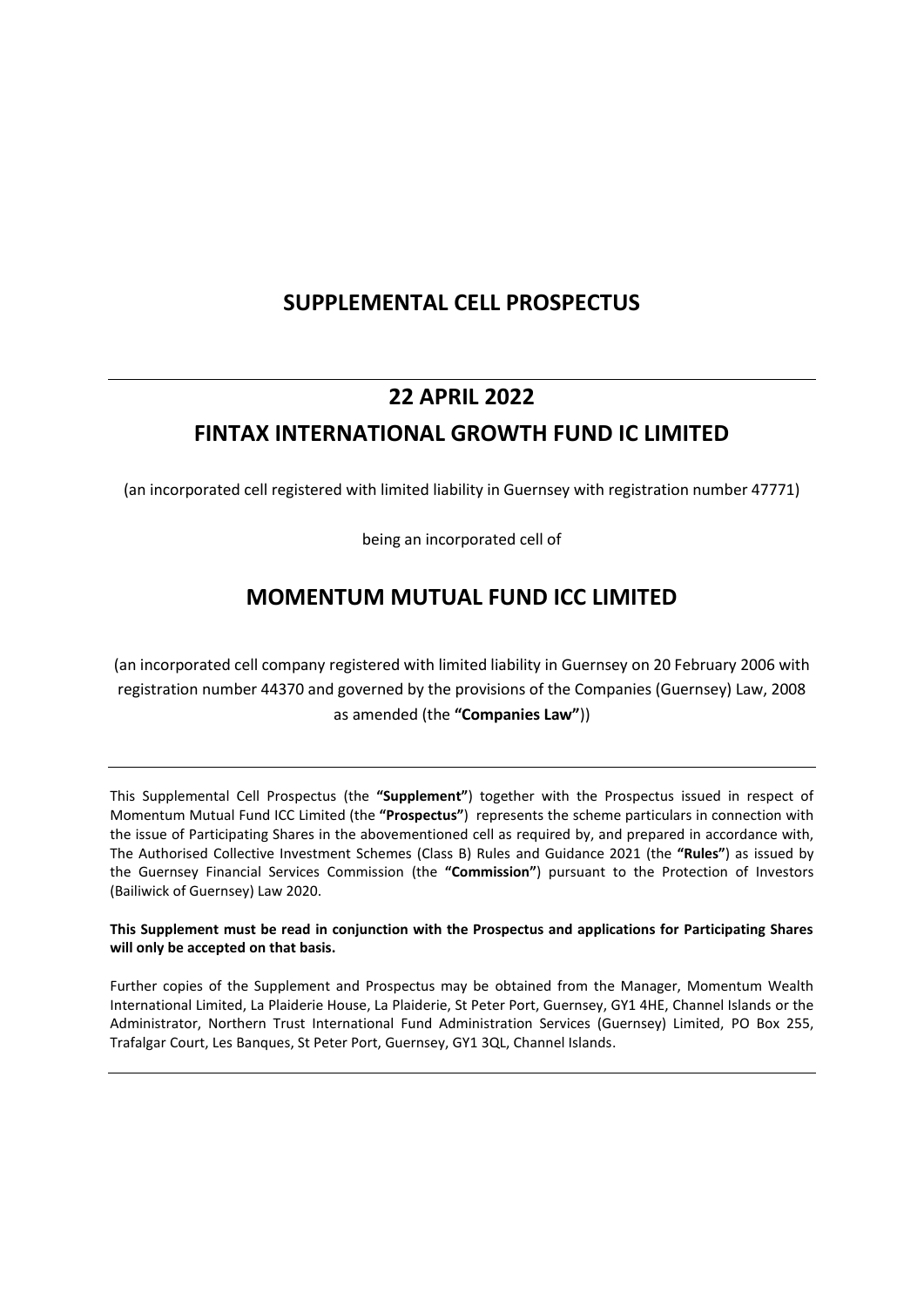# **SUPPLEMENTAL CELL PROSPECTUS**

# **22 APRIL 2022 FINTAX INTERNATIONAL GROWTH FUND IC LIMITED**

(an incorporated cell registered with limited liability in Guernsey with registration number 47771)

being an incorporated cell of

# **MOMENTUM MUTUAL FUND ICC LIMITED**

(an incorporated cell company registered with limited liability in Guernsey on 20 February 2006 with registration number 44370 and governed by the provisions of the Companies (Guernsey) Law, 2008 as amended (the **"Companies Law"**))

This Supplemental Cell Prospectus (the **"Supplement"**) together with the Prospectus issued in respect of Momentum Mutual Fund ICC Limited (the **"Prospectus"**) represents the scheme particulars in connection with the issue of Participating Shares in the abovementioned cell as required by, and prepared in accordance with, The Authorised Collective Investment Schemes (Class B) Rules and Guidance 2021 (the **"Rules"**) as issued by the Guernsey Financial Services Commission (the **"Commission"**) pursuant to the Protection of Investors (Bailiwick of Guernsey) Law 2020.

**This Supplement must be read in conjunction with the Prospectus and applications for Participating Shares will only be accepted on that basis.**

Further copies of the Supplement and Prospectus may be obtained from the Manager, Momentum Wealth International Limited, La Plaiderie House, La Plaiderie, St Peter Port, Guernsey, GY1 4HE, Channel Islands or the Administrator, Northern Trust International Fund Administration Services (Guernsey) Limited, PO Box 255, Trafalgar Court, Les Banques, St Peter Port, Guernsey, GY1 3QL, Channel Islands.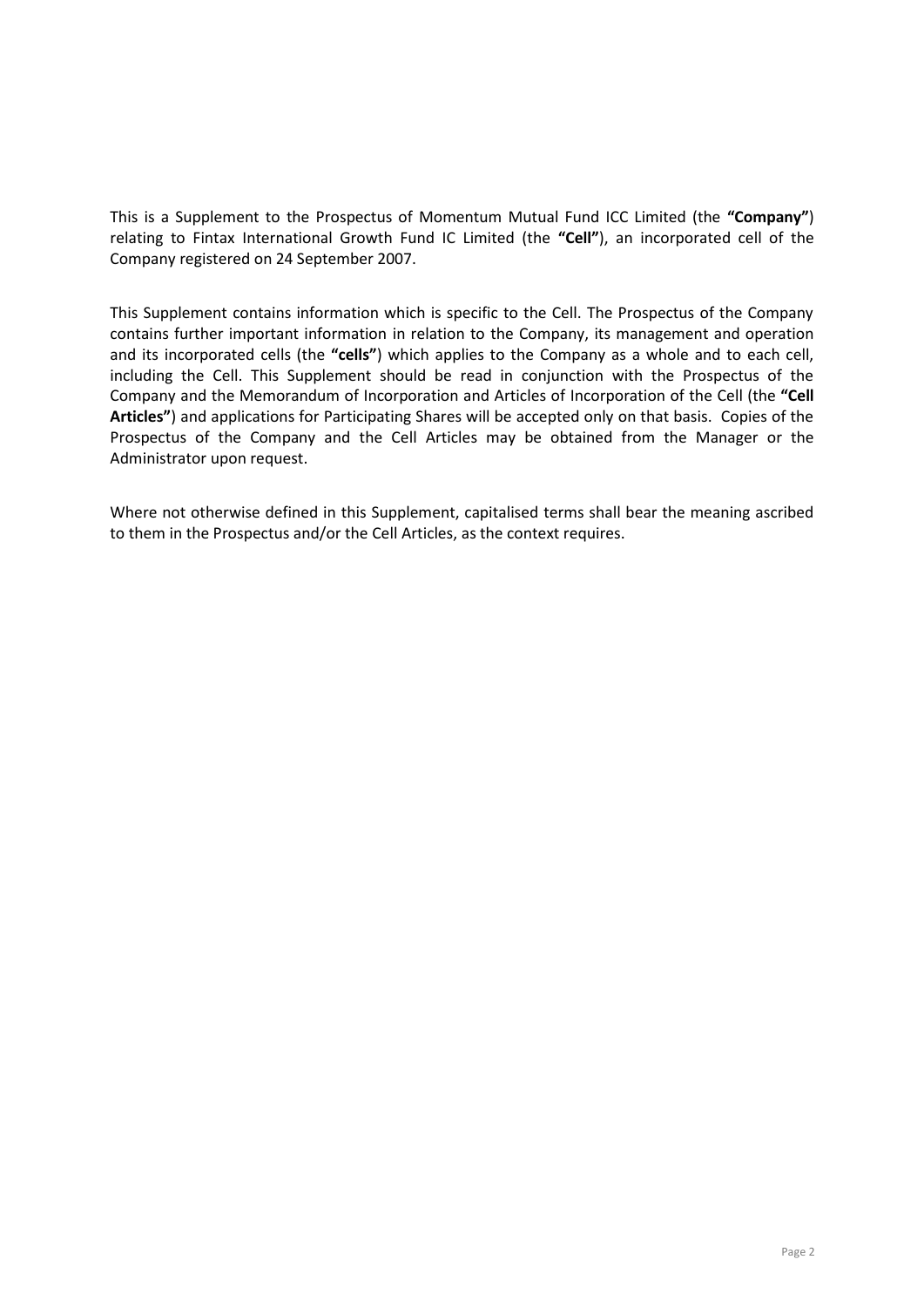This is a Supplement to the Prospectus of Momentum Mutual Fund ICC Limited (the **"Company"**) relating to Fintax International Growth Fund IC Limited (the **"Cell"**), an incorporated cell of the Company registered on 24 September 2007.

This Supplement contains information which is specific to the Cell. The Prospectus of the Company contains further important information in relation to the Company, its management and operation and its incorporated cells (the **"cells"**) which applies to the Company as a whole and to each cell, including the Cell. This Supplement should be read in conjunction with the Prospectus of the Company and the Memorandum of Incorporation and Articles of Incorporation of the Cell (the **"Cell Articles"**) and applications for Participating Shares will be accepted only on that basis. Copies of the Prospectus of the Company and the Cell Articles may be obtained from the Manager or the Administrator upon request.

Where not otherwise defined in this Supplement, capitalised terms shall bear the meaning ascribed to them in the Prospectus and/or the Cell Articles, as the context requires.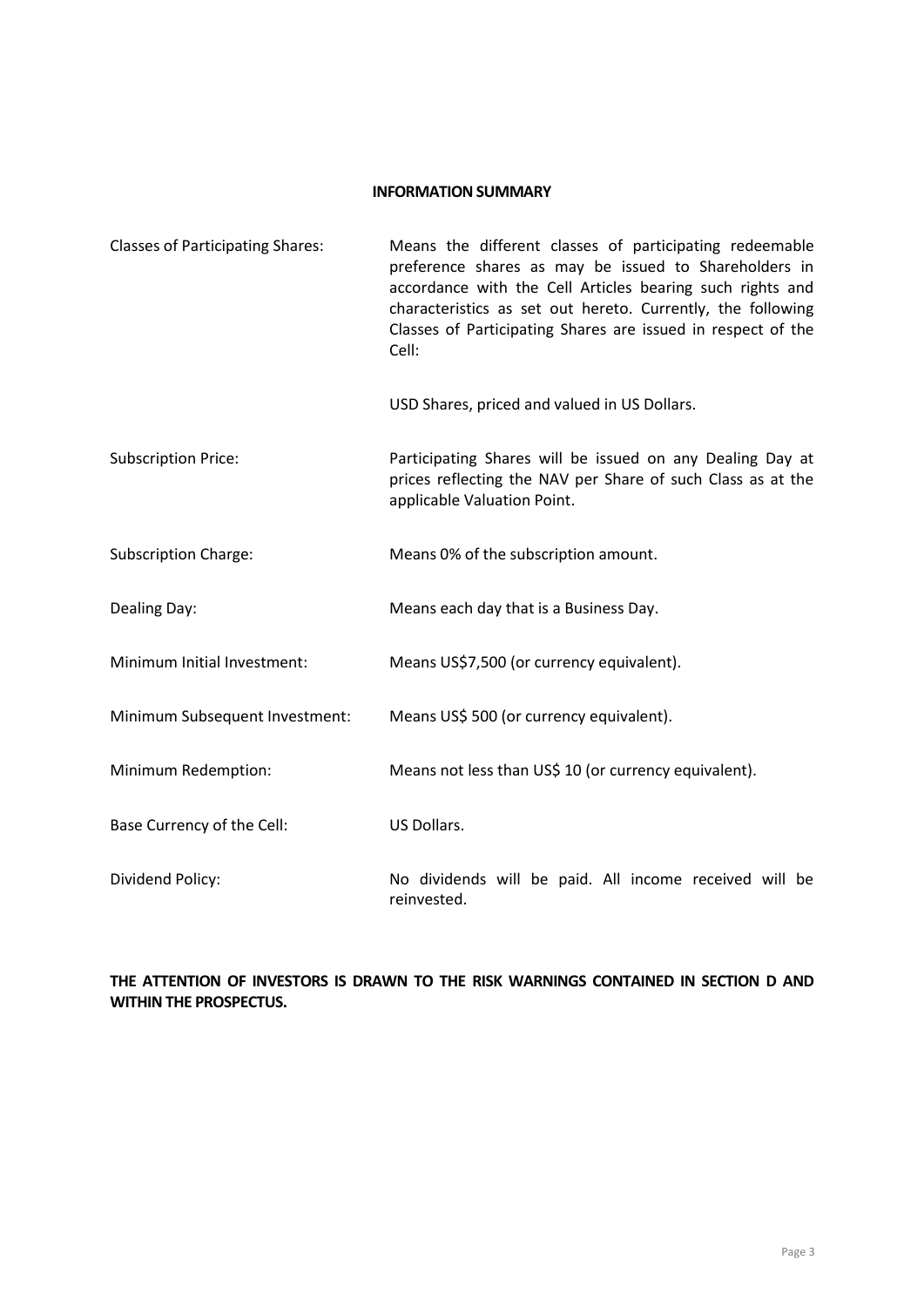#### **INFORMATION SUMMARY**

| <b>Classes of Participating Shares:</b> | Means the different classes of participating redeemable<br>preference shares as may be issued to Shareholders in<br>accordance with the Cell Articles bearing such rights and<br>characteristics as set out hereto. Currently, the following<br>Classes of Participating Shares are issued in respect of the<br>Cell: |
|-----------------------------------------|-----------------------------------------------------------------------------------------------------------------------------------------------------------------------------------------------------------------------------------------------------------------------------------------------------------------------|
|                                         | USD Shares, priced and valued in US Dollars.                                                                                                                                                                                                                                                                          |
| <b>Subscription Price:</b>              | Participating Shares will be issued on any Dealing Day at<br>prices reflecting the NAV per Share of such Class as at the<br>applicable Valuation Point.                                                                                                                                                               |
| <b>Subscription Charge:</b>             | Means 0% of the subscription amount.                                                                                                                                                                                                                                                                                  |
| Dealing Day:                            | Means each day that is a Business Day.                                                                                                                                                                                                                                                                                |
| Minimum Initial Investment:             | Means US\$7,500 (or currency equivalent).                                                                                                                                                                                                                                                                             |
| Minimum Subsequent Investment:          | Means US\$ 500 (or currency equivalent).                                                                                                                                                                                                                                                                              |
| Minimum Redemption:                     | Means not less than US\$ 10 (or currency equivalent).                                                                                                                                                                                                                                                                 |
| Base Currency of the Cell:              | US Dollars.                                                                                                                                                                                                                                                                                                           |
| Dividend Policy:                        | No dividends will be paid. All income received will be<br>reinvested.                                                                                                                                                                                                                                                 |

## **THE ATTENTION OF INVESTORS IS DRAWN TO THE RISK WARNINGS CONTAINED IN SECTION D AND WITHIN THE PROSPECTUS.**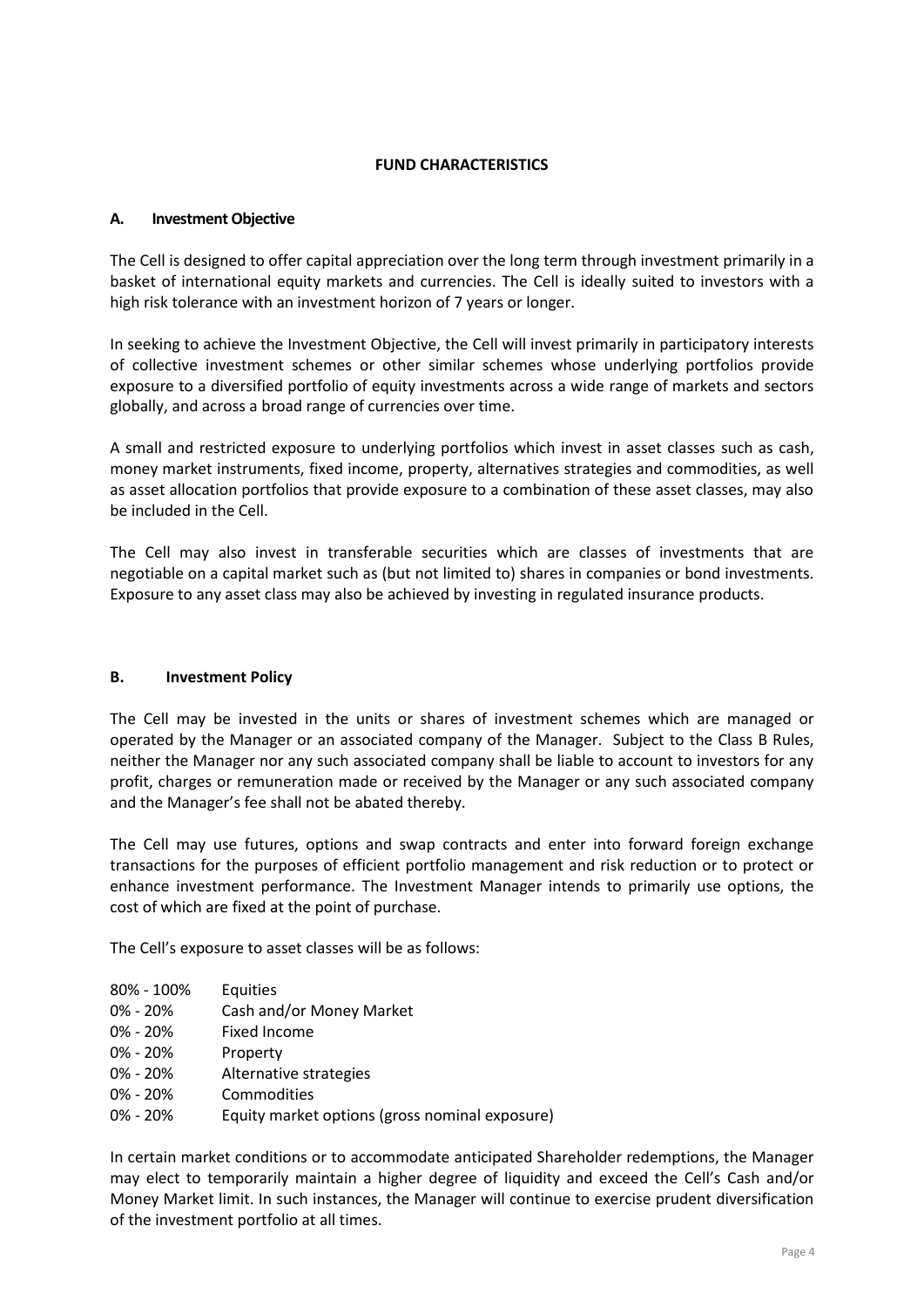## **FUND CHARACTERISTICS**

#### **A. Investment Objective**

The Cell is designed to offer capital appreciation over the long term through investment primarily in a basket of international equity markets and currencies. The Cell is ideally suited to investors with a high risk tolerance with an investment horizon of 7 years or longer.

In seeking to achieve the Investment Objective, the Cell will invest primarily in participatory interests of collective investment schemes or other similar schemes whose underlying portfolios provide exposure to a diversified portfolio of equity investments across a wide range of markets and sectors globally, and across a broad range of currencies over time.

A small and restricted exposure to underlying portfolios which invest in asset classes such as cash, money market instruments, fixed income, property, alternatives strategies and commodities, as well as asset allocation portfolios that provide exposure to a combination of these asset classes, may also be included in the Cell.

The Cell may also invest in transferable securities which are classes of investments that are negotiable on a capital market such as (but not limited to) shares in companies or bond investments. Exposure to any asset class may also be achieved by investing in regulated insurance products.

## **B. Investment Policy**

The Cell may be invested in the units or shares of investment schemes which are managed or operated by the Manager or an associated company of the Manager. Subject to the Class B Rules, neither the Manager nor any such associated company shall be liable to account to investors for any profit, charges or remuneration made or received by the Manager or any such associated company and the Manager's fee shall not be abated thereby.

The Cell may use futures, options and swap contracts and enter into forward foreign exchange transactions for the purposes of efficient portfolio management and risk reduction or to protect or enhance investment performance. The Investment Manager intends to primarily use options, the cost of which are fixed at the point of purchase.

The Cell's exposure to asset classes will be as follows:

| 80% - 100%   | Equities                                       |
|--------------|------------------------------------------------|
| $0\% - 20\%$ | Cash and/or Money Market                       |
| $0\% - 20\%$ | Fixed Income                                   |
| $0\% - 20\%$ | Property                                       |
| $0\% - 20\%$ | Alternative strategies                         |
| $0\% - 20\%$ | Commodities                                    |
| $0\% - 20\%$ | Equity market options (gross nominal exposure) |

In certain market conditions or to accommodate anticipated Shareholder redemptions, the Manager may elect to temporarily maintain a higher degree of liquidity and exceed the Cell's Cash and/or Money Market limit. In such instances, the Manager will continue to exercise prudent diversification of the investment portfolio at all times.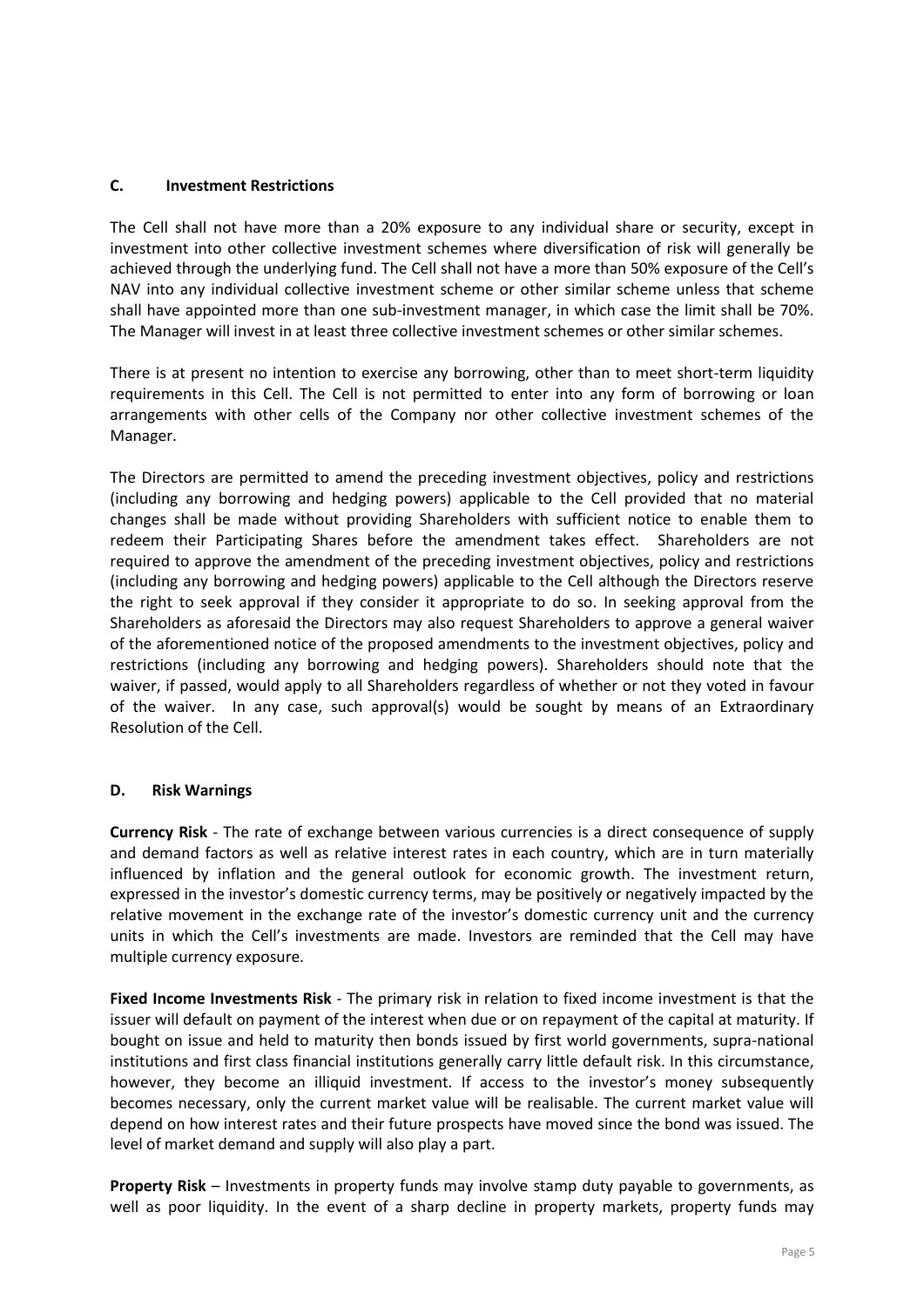#### **C. Investment Restrictions**

The Cell shall not have more than a 20% exposure to any individual share or security, except in investment into other collective investment schemes where diversification of risk will generally be achieved through the underlying fund. The Cell shall not have a more than 50% exposure of the Cell's NAV into any individual collective investment scheme or other similar scheme unless that scheme shall have appointed more than one sub-investment manager, in which case the limit shall be 70%. The Manager will invest in at least three collective investment schemes or other similar schemes.

There is at present no intention to exercise any borrowing, other than to meet short-term liquidity requirements in this Cell. The Cell is not permitted to enter into any form of borrowing or loan arrangements with other cells of the Company nor other collective investment schemes of the Manager.

The Directors are permitted to amend the preceding investment objectives, policy and restrictions (including any borrowing and hedging powers) applicable to the Cell provided that no material changes shall be made without providing Shareholders with sufficient notice to enable them to redeem their Participating Shares before the amendment takes effect. Shareholders are not required to approve the amendment of the preceding investment objectives, policy and restrictions (including any borrowing and hedging powers) applicable to the Cell although the Directors reserve the right to seek approval if they consider it appropriate to do so. In seeking approval from the Shareholders as aforesaid the Directors may also request Shareholders to approve a general waiver of the aforementioned notice of the proposed amendments to the investment objectives, policy and restrictions (including any borrowing and hedging powers). Shareholders should note that the waiver, if passed, would apply to all Shareholders regardless of whether or not they voted in favour of the waiver. In any case, such approval(s) would be sought by means of an Extraordinary Resolution of the Cell.

#### **D. Risk Warnings**

**Currency Risk** - The rate of exchange between various currencies is a direct consequence of supply and demand factors as well as relative interest rates in each country, which are in turn materially influenced by inflation and the general outlook for economic growth. The investment return, expressed in the investor's domestic currency terms, may be positively or negatively impacted by the relative movement in the exchange rate of the investor's domestic currency unit and the currency units in which the Cell's investments are made. Investors are reminded that the Cell may have multiple currency exposure.

**Fixed Income Investments Risk** - The primary risk in relation to fixed income investment is that the issuer will default on payment of the interest when due or on repayment of the capital at maturity. If bought on issue and held to maturity then bonds issued by first world governments, supra-national institutions and first class financial institutions generally carry little default risk. In this circumstance, however, they become an illiquid investment. If access to the investor's money subsequently becomes necessary, only the current market value will be realisable. The current market value will depend on how interest rates and their future prospects have moved since the bond was issued. The level of market demand and supply will also play a part.

**Property Risk** – Investments in property funds may involve stamp duty payable to governments, as well as poor liquidity. In the event of a sharp decline in property markets, property funds may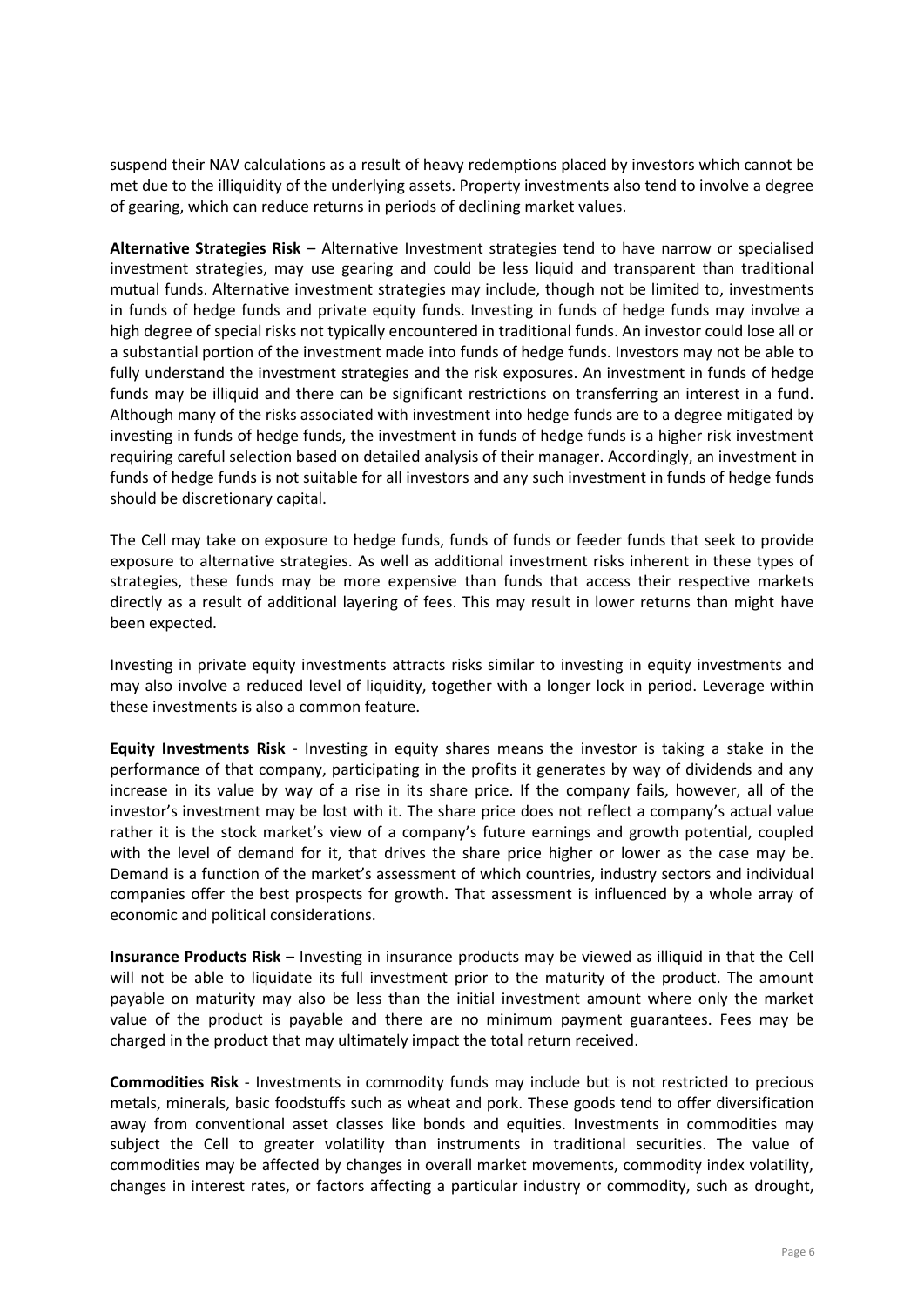suspend their NAV calculations as a result of heavy redemptions placed by investors which cannot be met due to the illiquidity of the underlying assets. Property investments also tend to involve a degree of gearing, which can reduce returns in periods of declining market values.

**Alternative Strategies Risk** – Alternative Investment strategies tend to have narrow or specialised investment strategies, may use gearing and could be less liquid and transparent than traditional mutual funds. Alternative investment strategies may include, though not be limited to, investments in funds of hedge funds and private equity funds. Investing in funds of hedge funds may involve a high degree of special risks not typically encountered in traditional funds. An investor could lose all or a substantial portion of the investment made into funds of hedge funds. Investors may not be able to fully understand the investment strategies and the risk exposures. An investment in funds of hedge funds may be illiquid and there can be significant restrictions on transferring an interest in a fund. Although many of the risks associated with investment into hedge funds are to a degree mitigated by investing in funds of hedge funds, the investment in funds of hedge funds is a higher risk investment requiring careful selection based on detailed analysis of their manager. Accordingly, an investment in funds of hedge funds is not suitable for all investors and any such investment in funds of hedge funds should be discretionary capital.

The Cell may take on exposure to hedge funds, funds of funds or feeder funds that seek to provide exposure to alternative strategies. As well as additional investment risks inherent in these types of strategies, these funds may be more expensive than funds that access their respective markets directly as a result of additional layering of fees. This may result in lower returns than might have been expected.

Investing in private equity investments attracts risks similar to investing in equity investments and may also involve a reduced level of liquidity, together with a longer lock in period. Leverage within these investments is also a common feature.

**Equity Investments Risk** - Investing in equity shares means the investor is taking a stake in the performance of that company, participating in the profits it generates by way of dividends and any increase in its value by way of a rise in its share price. If the company fails, however, all of the investor's investment may be lost with it. The share price does not reflect a company's actual value rather it is the stock market's view of a company's future earnings and growth potential, coupled with the level of demand for it, that drives the share price higher or lower as the case may be. Demand is a function of the market's assessment of which countries, industry sectors and individual companies offer the best prospects for growth. That assessment is influenced by a whole array of economic and political considerations.

**Insurance Products Risk** – Investing in insurance products may be viewed as illiquid in that the Cell will not be able to liquidate its full investment prior to the maturity of the product. The amount payable on maturity may also be less than the initial investment amount where only the market value of the product is payable and there are no minimum payment guarantees. Fees may be charged in the product that may ultimately impact the total return received.

**Commodities Risk** - Investments in commodity funds may include but is not restricted to precious metals, minerals, basic foodstuffs such as wheat and pork. These goods tend to offer diversification away from conventional asset classes like bonds and equities. Investments in commodities may subject the Cell to greater volatility than instruments in traditional securities. The value of commodities may be affected by changes in overall market movements, commodity index volatility, changes in interest rates, or factors affecting a particular industry or commodity, such as drought,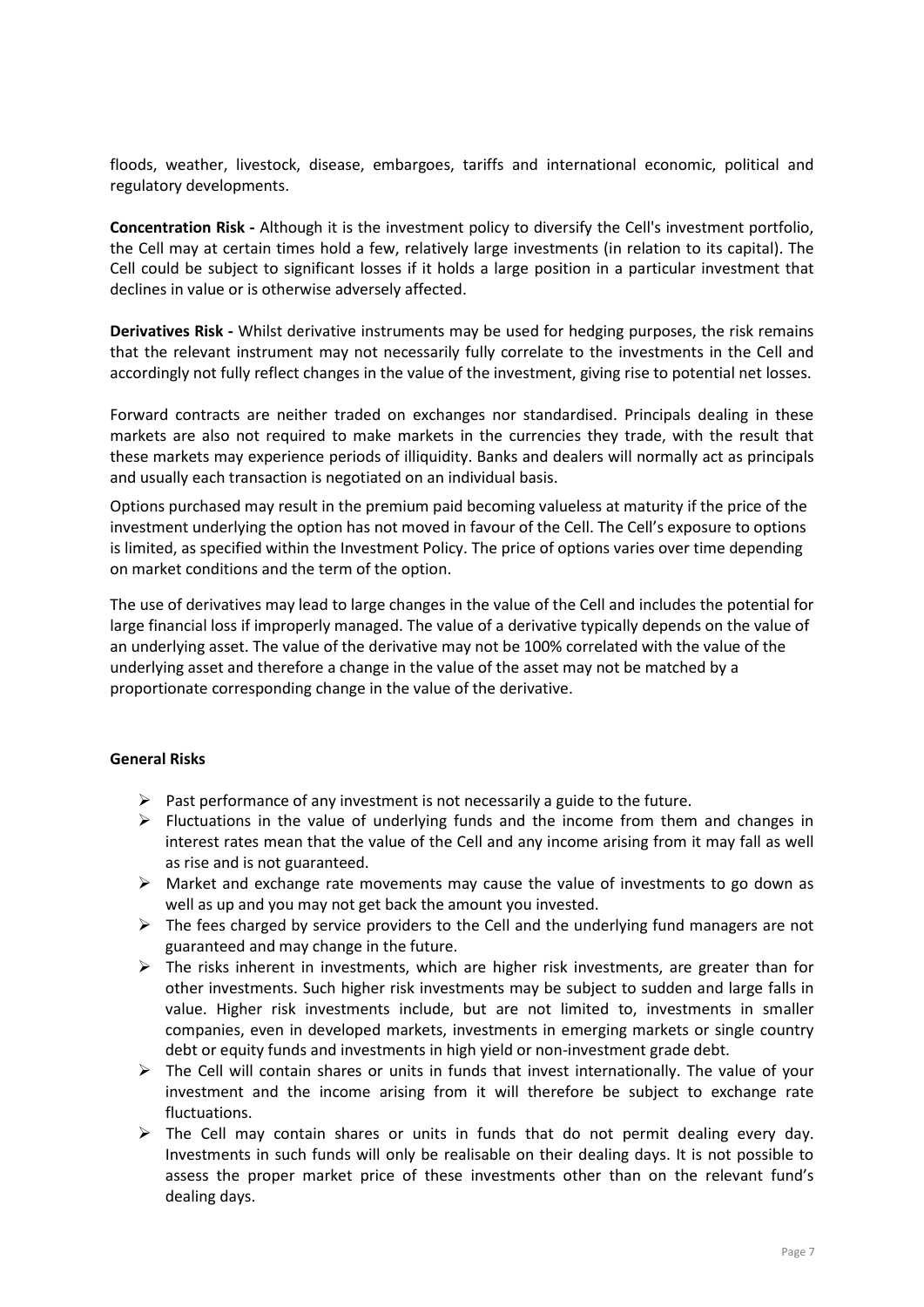floods, weather, livestock, disease, embargoes, tariffs and international economic, political and regulatory developments.

**Concentration Risk -** Although it is the investment policy to diversify the Cell's investment portfolio, the Cell may at certain times hold a few, relatively large investments (in relation to its capital). The Cell could be subject to significant losses if it holds a large position in a particular investment that declines in value or is otherwise adversely affected.

**Derivatives Risk -** Whilst derivative instruments may be used for hedging purposes, the risk remains that the relevant instrument may not necessarily fully correlate to the investments in the Cell and accordingly not fully reflect changes in the value of the investment, giving rise to potential net losses.

Forward contracts are neither traded on exchanges nor standardised. Principals dealing in these markets are also not required to make markets in the currencies they trade, with the result that these markets may experience periods of illiquidity. Banks and dealers will normally act as principals and usually each transaction is negotiated on an individual basis.

Options purchased may result in the premium paid becoming valueless at maturity if the price of the investment underlying the option has not moved in favour of the Cell. The Cell's exposure to options is limited, as specified within the Investment Policy. The price of options varies over time depending on market conditions and the term of the option.

The use of derivatives may lead to large changes in the value of the Cell and includes the potential for large financial loss if improperly managed. The value of a derivative typically depends on the value of an underlying asset. The value of the derivative may not be 100% correlated with the value of the underlying asset and therefore a change in the value of the asset may not be matched by a proportionate corresponding change in the value of the derivative.

#### **General Risks**

- $\triangleright$  Past performance of any investment is not necessarily a guide to the future.
- $\triangleright$  Fluctuations in the value of underlying funds and the income from them and changes in interest rates mean that the value of the Cell and any income arising from it may fall as well as rise and is not guaranteed.
- $\triangleright$  Market and exchange rate movements may cause the value of investments to go down as well as up and you may not get back the amount you invested.
- $\triangleright$  The fees charged by service providers to the Cell and the underlying fund managers are not guaranteed and may change in the future.
- $\triangleright$  The risks inherent in investments, which are higher risk investments, are greater than for other investments. Such higher risk investments may be subject to sudden and large falls in value. Higher risk investments include, but are not limited to, investments in smaller companies, even in developed markets, investments in emerging markets or single country debt or equity funds and investments in high yield or non-investment grade debt.
- $\triangleright$  The Cell will contain shares or units in funds that invest internationally. The value of your investment and the income arising from it will therefore be subject to exchange rate fluctuations.
- $\triangleright$  The Cell may contain shares or units in funds that do not permit dealing every day. Investments in such funds will only be realisable on their dealing days. It is not possible to assess the proper market price of these investments other than on the relevant fund's dealing days.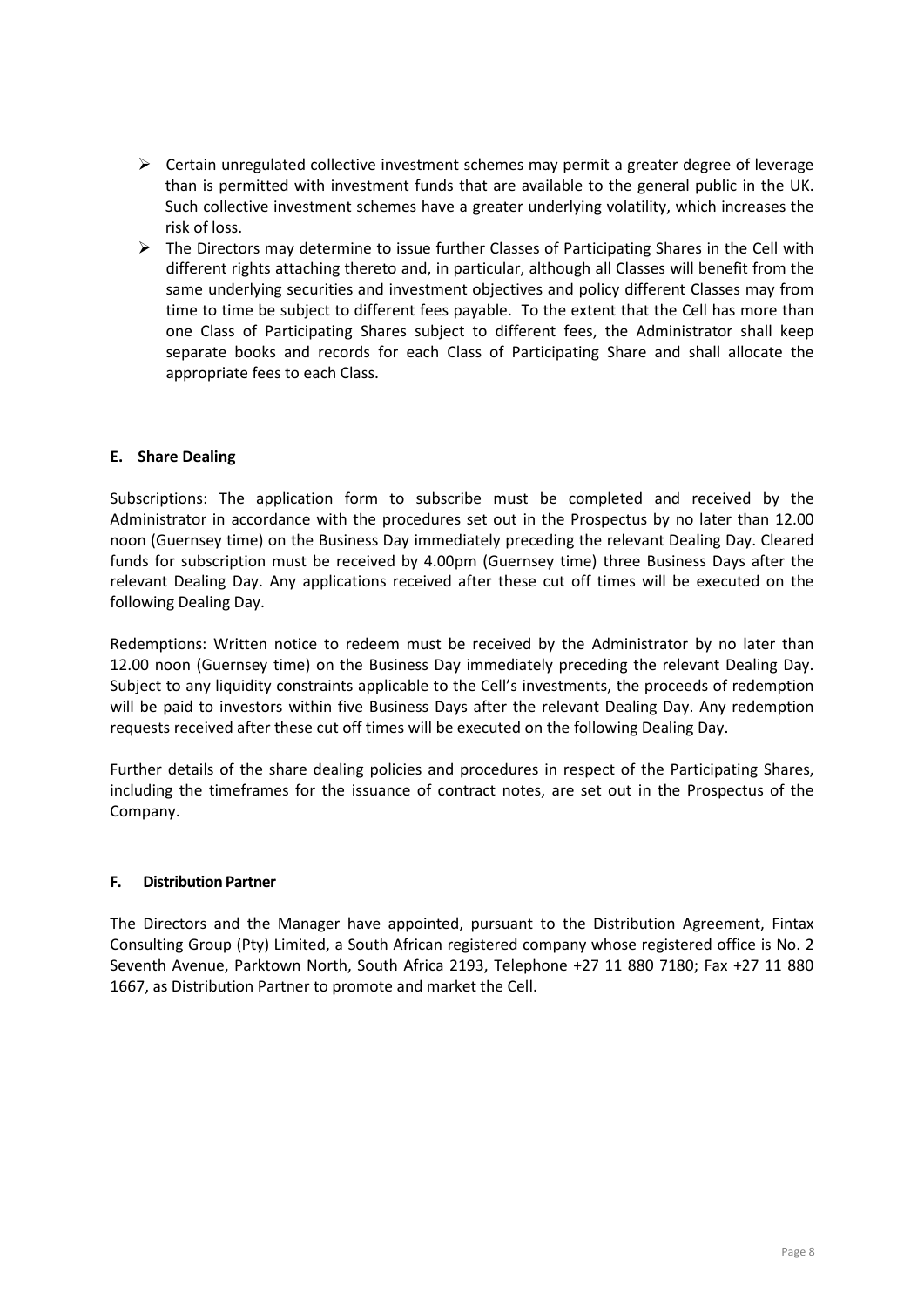- $\triangleright$  Certain unregulated collective investment schemes may permit a greater degree of leverage than is permitted with investment funds that are available to the general public in the UK. Such collective investment schemes have a greater underlying volatility, which increases the risk of loss.
- $\triangleright$  The Directors may determine to issue further Classes of Participating Shares in the Cell with different rights attaching thereto and, in particular, although all Classes will benefit from the same underlying securities and investment objectives and policy different Classes may from time to time be subject to different fees payable. To the extent that the Cell has more than one Class of Participating Shares subject to different fees, the Administrator shall keep separate books and records for each Class of Participating Share and shall allocate the appropriate fees to each Class.

#### **E. Share Dealing**

Subscriptions: The application form to subscribe must be completed and received by the Administrator in accordance with the procedures set out in the Prospectus by no later than 12.00 noon (Guernsey time) on the Business Day immediately preceding the relevant Dealing Day. Cleared funds for subscription must be received by 4.00pm (Guernsey time) three Business Days after the relevant Dealing Day. Any applications received after these cut off times will be executed on the following Dealing Day.

Redemptions: Written notice to redeem must be received by the Administrator by no later than 12.00 noon (Guernsey time) on the Business Day immediately preceding the relevant Dealing Day. Subject to any liquidity constraints applicable to the Cell's investments, the proceeds of redemption will be paid to investors within five Business Days after the relevant Dealing Day. Any redemption requests received after these cut off times will be executed on the following Dealing Day.

Further details of the share dealing policies and procedures in respect of the Participating Shares, including the timeframes for the issuance of contract notes, are set out in the Prospectus of the Company.

#### **F. Distribution Partner**

The Directors and the Manager have appointed, pursuant to the Distribution Agreement, Fintax Consulting Group (Pty) Limited, a South African registered company whose registered office is No. 2 Seventh Avenue, Parktown North, South Africa 2193, Telephone +27 11 880 7180; Fax +27 11 880 1667, as Distribution Partner to promote and market the Cell.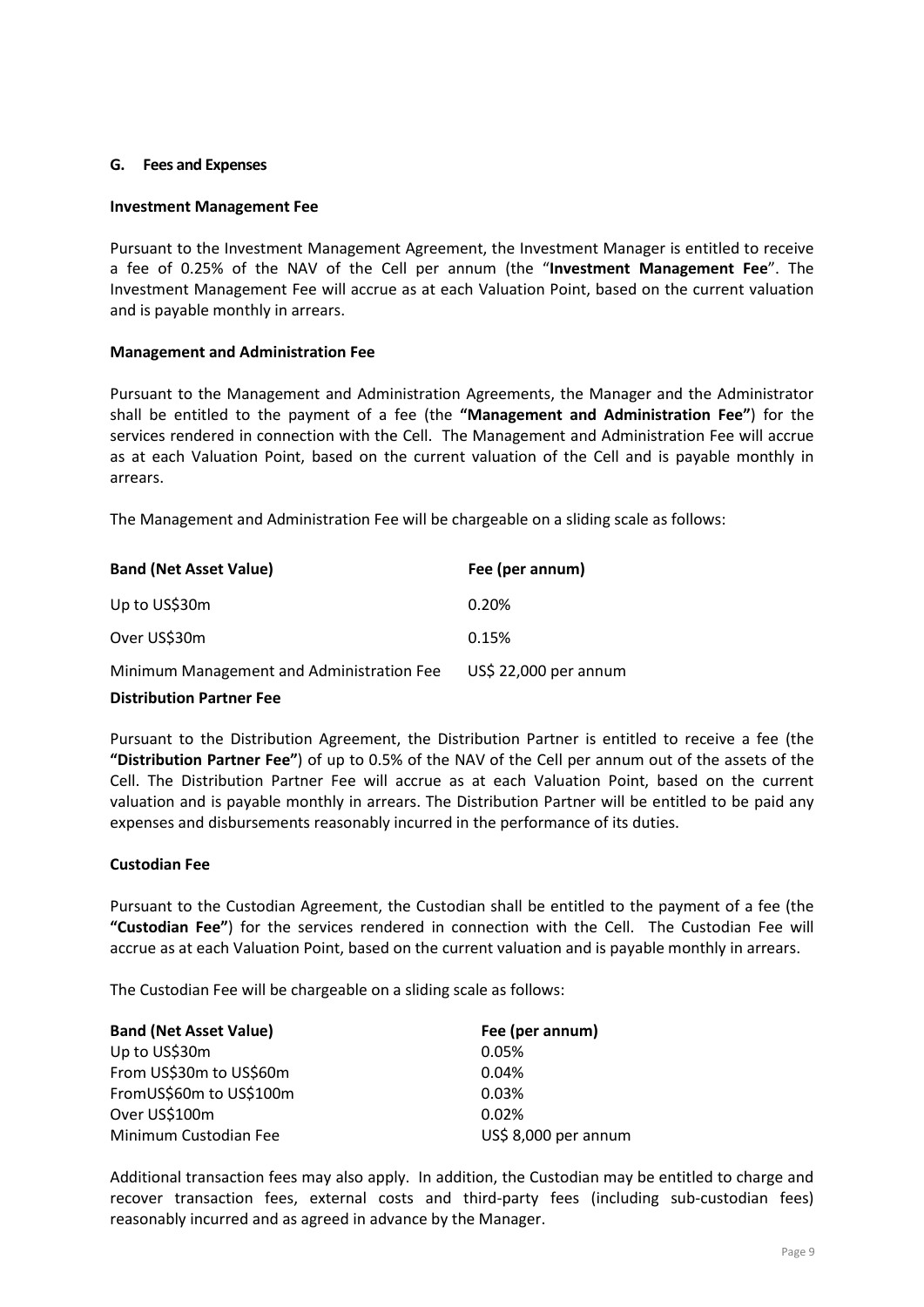#### **G. Fees and Expenses**

#### **Investment Management Fee**

Pursuant to the Investment Management Agreement, the Investment Manager is entitled to receive a fee of 0.25% of the NAV of the Cell per annum (the "**Investment Management Fee**". The Investment Management Fee will accrue as at each Valuation Point, based on the current valuation and is payable monthly in arrears.

#### **Management and Administration Fee**

Pursuant to the Management and Administration Agreements, the Manager and the Administrator shall be entitled to the payment of a fee (the **"Management and Administration Fee"**) for the services rendered in connection with the Cell. The Management and Administration Fee will accrue as at each Valuation Point, based on the current valuation of the Cell and is payable monthly in arrears.

The Management and Administration Fee will be chargeable on a sliding scale as follows:

| <b>Band (Net Asset Value)</b>             | Fee (per annum)       |
|-------------------------------------------|-----------------------|
| Up to US\$30m                             | 0.20%                 |
| Over US\$30m                              | 0.15%                 |
| Minimum Management and Administration Fee | US\$ 22,000 per annum |

#### **Distribution Partner Fee**

Pursuant to the Distribution Agreement, the Distribution Partner is entitled to receive a fee (the **"Distribution Partner Fee"**) of up to 0.5% of the NAV of the Cell per annum out of the assets of the Cell. The Distribution Partner Fee will accrue as at each Valuation Point, based on the current valuation and is payable monthly in arrears. The Distribution Partner will be entitled to be paid any expenses and disbursements reasonably incurred in the performance of its duties.

#### **Custodian Fee**

Pursuant to the Custodian Agreement, the Custodian shall be entitled to the payment of a fee (the **"Custodian Fee"**) for the services rendered in connection with the Cell. The Custodian Fee will accrue as at each Valuation Point, based on the current valuation and is payable monthly in arrears.

The Custodian Fee will be chargeable on a sliding scale as follows:

| <b>Band (Net Asset Value)</b> | Fee (per annum)      |  |
|-------------------------------|----------------------|--|
| Up to US\$30m                 | 0.05%                |  |
| From US\$30m to US\$60m       | 0.04%                |  |
| FromUS\$60m to US\$100m       | 0.03%                |  |
| Over US\$100m                 | 0.02%                |  |
| Minimum Custodian Fee         | US\$ 8,000 per annum |  |

Additional transaction fees may also apply. In addition, the Custodian may be entitled to charge and recover transaction fees, external costs and third-party fees (including sub-custodian fees) reasonably incurred and as agreed in advance by the Manager.